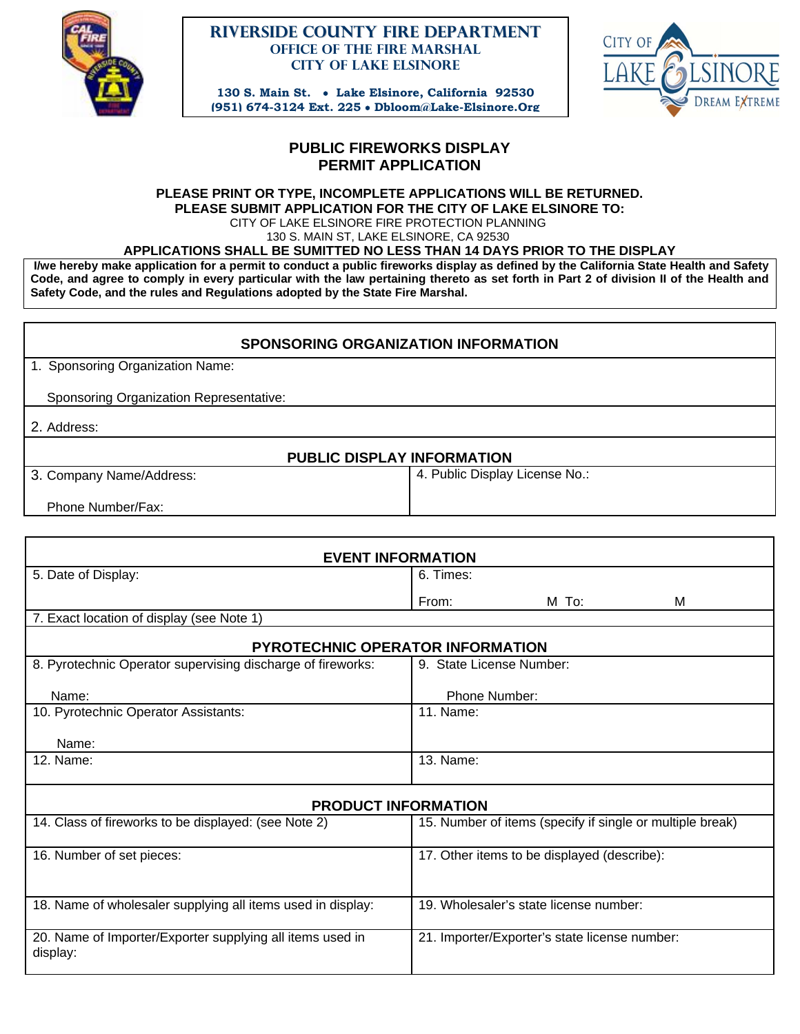

### **Riverside County Fire Department Office of the Fire Marshal City of Lake Elsinore**

**130 S. Main St. Lake Elsinore, California 92530 (951) 674-3124 Ext. 225 Dbloom@Lake-Elsinore.Org**



# **PUBLIC FIREWORKS DISPLAY PERMIT APPLICATION**

#### **PLEASE PRINT OR TYPE, INCOMPLETE APPLICATIONS WILL BE RETURNED. PLEASE SUBMIT APPLICATION FOR THE CITY OF LAKE ELSINORE TO:** CITY OF LAKE ELSINORE FIRE PROTECTION PLANNING 130 S. MAIN ST, LAKE ELSINORE, CA 92530

## **APPLICATIONS SHALL BE SUMITTED NO LESS THAN 14 DAYS PRIOR TO THE DISPLAY**

 **I/we hereby make application for a permit to conduct a public fireworks display as defined by the California State Health and Safety Code, and agree to comply in every particular with the law pertaining thereto as set forth in Part 2 of division II of the Health and Safety Code, and the rules and Regulations adopted by the State Fire Marshal.** 

### **SPONSORING ORGANIZATION INFORMATION**

1. Sponsoring Organization Name:

Sponsoring Organization Representative:

2. Address:

### **PUBLIC DISPLAY INFORMATION**

3. Company Name/Address:

4. Public Display License No.:

Phone Number/Fax:

| <b>EVENT INFORMATION</b>                                              |                                                           |  |  |
|-----------------------------------------------------------------------|-----------------------------------------------------------|--|--|
| 5. Date of Display:                                                   | 6. Times:                                                 |  |  |
|                                                                       | M<br>From:<br>M To:                                       |  |  |
| 7. Exact location of display (see Note 1)                             |                                                           |  |  |
| PYROTECHNIC OPERATOR INFORMATION                                      |                                                           |  |  |
| 8. Pyrotechnic Operator supervising discharge of fireworks:           | 9. State License Number:                                  |  |  |
| Name:                                                                 | Phone Number:                                             |  |  |
| 10. Pyrotechnic Operator Assistants:                                  | 11. Name:                                                 |  |  |
| Name:                                                                 |                                                           |  |  |
| 12. Name:                                                             | 13. Name:                                                 |  |  |
| <b>PRODUCT INFORMATION</b>                                            |                                                           |  |  |
| 14. Class of fireworks to be displayed: (see Note 2)                  | 15. Number of items (specify if single or multiple break) |  |  |
| 16. Number of set pieces:                                             | 17. Other items to be displayed (describe):               |  |  |
|                                                                       |                                                           |  |  |
| 18. Name of wholesaler supplying all items used in display:           | 19. Wholesaler's state license number:                    |  |  |
| 20. Name of Importer/Exporter supplying all items used in<br>display: | 21. Importer/Exporter's state license number:             |  |  |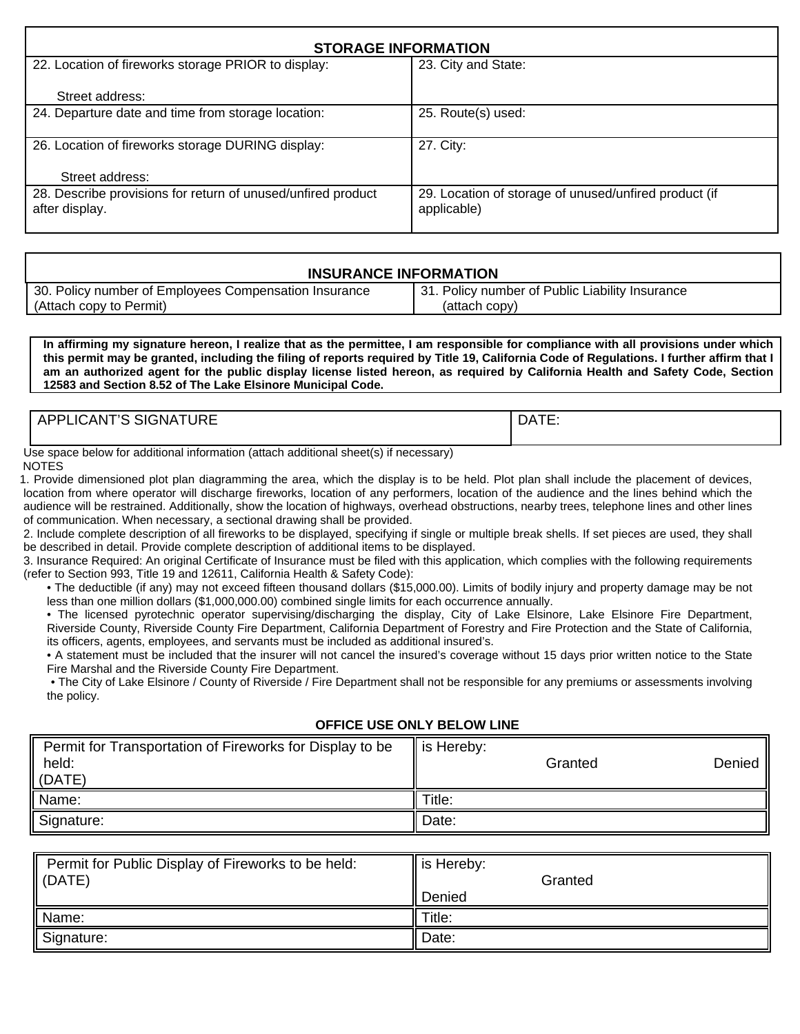| <b>STORAGE INFORMATION</b>                                           |  |  |
|----------------------------------------------------------------------|--|--|
| 23. City and State:                                                  |  |  |
|                                                                      |  |  |
| 25. Route(s) used:                                                   |  |  |
| 27. City:                                                            |  |  |
|                                                                      |  |  |
|                                                                      |  |  |
| 29. Location of storage of unused/unfired product (if<br>applicable) |  |  |
|                                                                      |  |  |

#### **INSURANCE INFORMATION**  30. Policy number of Employees Compensation Insurance (Attach copy to Permit) 31. Policy number of Public Liability Insurance (attach copy)

**In affirming my signature hereon, I realize that as the permittee, I am responsible for compliance with all provisions under which this permit may be granted, including the filing of reports required by Title 19, California Code of Regulations. I further affirm that I am an authorized agent for the public display license listed hereon, as required by California Health and Safety Code, Section 12583 and Section 8.52 of The Lake Elsinore Municipal Code.** 

| .<br>O1011<br>--<br><b>DF</b><br><b>LICAN</b><br>SIGNAT.<br>UKE<br>nг | DATE: |
|-----------------------------------------------------------------------|-------|
|                                                                       |       |

Use space below for additional information (attach additional sheet(s) if necessary) NOTES

 1. Provide dimensioned plot plan diagramming the area, which the display is to be held. Plot plan shall include the placement of devices, location from where operator will discharge fireworks, location of any performers, location of the audience and the lines behind which the audience will be restrained. Additionally, show the location of highways, overhead obstructions, nearby trees, telephone lines and other lines of communication. When necessary, a sectional drawing shall be provided.

2. Include complete description of all fireworks to be displayed, specifying if single or multiple break shells. If set pieces are used, they shall be described in detail. Provide complete description of additional items to be displayed.

3. Insurance Required: An original Certificate of Insurance must be filed with this application, which complies with the following requirements (refer to Section 993, Title 19 and 12611, California Health & Safety Code):

• The deductible (if any) may not exceed fifteen thousand dollars (\$15,000.00). Limits of bodily injury and property damage may be not less than one million dollars (\$1,000,000.00) combined single limits for each occurrence annually.

• The licensed pyrotechnic operator supervising/discharging the display, City of Lake Elsinore, Lake Elsinore Fire Department, Riverside County, Riverside County Fire Department, California Department of Forestry and Fire Protection and the State of California, its officers, agents, employees, and servants must be included as additional insured's.

• A statement must be included that the insurer will not cancel the insured's coverage without 15 days prior written notice to the State Fire Marshal and the Riverside County Fire Department.

• The City of Lake Elsinore / County of Riverside / Fire Department shall not be responsible for any premiums or assessments involving the policy.

### **OFFICE USE ONLY BELOW LINE**

| Permit for Transportation of Fireworks for Display to be<br>held:<br>(DATE) | is Hereby:<br>Granted | Denied |
|-----------------------------------------------------------------------------|-----------------------|--------|
| Name:                                                                       | Title:                |        |
| Signature:                                                                  | Date:                 |        |

| Permit for Public Display of Fireworks to be held:<br>$\vert$ (DATE) | $\parallel$ is Hereby:<br>Granted<br>Denied |
|----------------------------------------------------------------------|---------------------------------------------|
| Name:                                                                | Title:                                      |
| Signature:                                                           | Date:                                       |